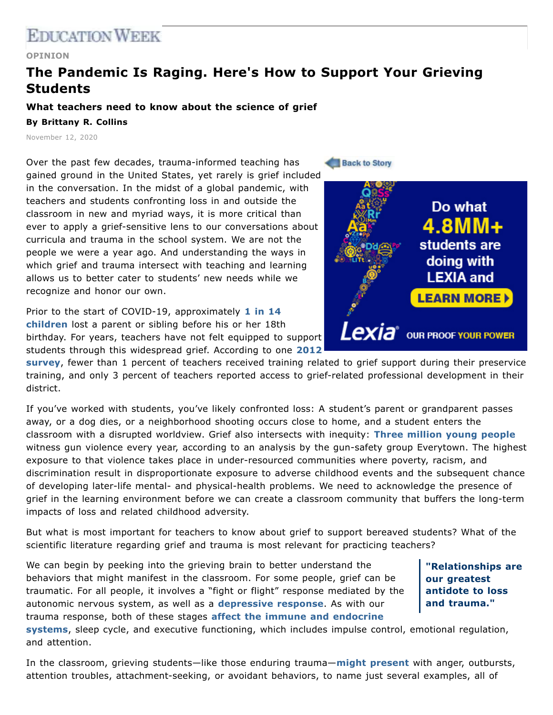## **EDICATION WEEK**

## **OPINION**

## **The Pandemic Is Raging. Here's How to Support Your Grieving Students**

## **What teachers need to know about the science of grief By Brittany R. Collins**

November 12, 2020

Over the past few decades, trauma-informed teaching has gained ground in the United States, yet rarely is grief included in the conversation. In the midst of a global pandemic, with teachers and students confronting loss in and outside the classroom in new and myriad ways, it is more critical than ever to apply a grief-sensitive lens to our conversations about curricula and trauma in the school system. We are not the people we were a year ago. And understanding the ways in which grief and trauma intersect with teaching and learning allows us to better cater to students' new needs while we recognize and honor our own.

Prior to the start of COVID-19, [approximately](https://psycnet.apa.org/fulltext/2020-06195-001.html) **1 in 14 children** lost a parent or sibling before his or her 18th birthday. For years, teachers have not felt equipped to support students through this [widespread](https://www.aft.org/sites/default/files/release_bereavement121012.pdf) grief. According to one **2012**

**survey**, fewer than 1 percent of teachers received training related to grief support during their preservice training, and only 3 percent of teachers reported access to grief-related professional development in their district.

If you've worked with students, you've likely confronted loss: A student's parent or grandparent passes away, or a dog dies, or a neighborhood shooting occurs close to home, and a student enters the classroom with a disrupted worldview. Grief also intersects with inequity: **Three [million](https://everytownresearch.org/report/the-impact-of-gun-violence-on-children-and-teens/) young people** witness gun violence every year, according to an analysis by the gun-safety group Everytown. The highest exposure to that violence takes place in under-resourced communities where poverty, racism, and discrimination result in disproportionate exposure to adverse childhood events and the subsequent chance of developing later-life mental- and physical-health problems. We need to acknowledge the presence of grief in the learning environment before we can create a classroom community that buffers the long-term impacts of loss and related childhood adversity.

But what is most important for teachers to know about grief to support bereaved students? What of the scientific literature regarding grief and trauma is most relevant for practicing teachers?

We can begin by peeking into the grieving brain to better understand the behaviors that might manifest in the classroom. For some people, grief can be traumatic. For all people, it involves a "fight or flight" response mediated by the autonomic nervous system, as well as a **[depressive](https://www.amazon.com/Before-After-Loss-Neurologists-Perspective/dp/1421426951) response**. As with our trauma response, both of these stages **affect the immune and endocrine**

**"Relationships are our greatest antidote to loss and trauma."**

**systems**, sleep cycle, and executive [functioning,](https://www.amazon.com/Before-After-Loss-Neurologists-Perspective/dp/1421426951) which includes impulse control, emotional regulation, and attention.

In the classroom, grieving students—like those enduring trauma—**might [present](https://www.fcps.net/cms/lib/KY01807169/Centricity/Domain/2316/grief/signs.pdf)** with anger, outbursts, attention troubles, attachment-seeking, or avoidant behaviors, to name just several examples, all of



**Back to Story**